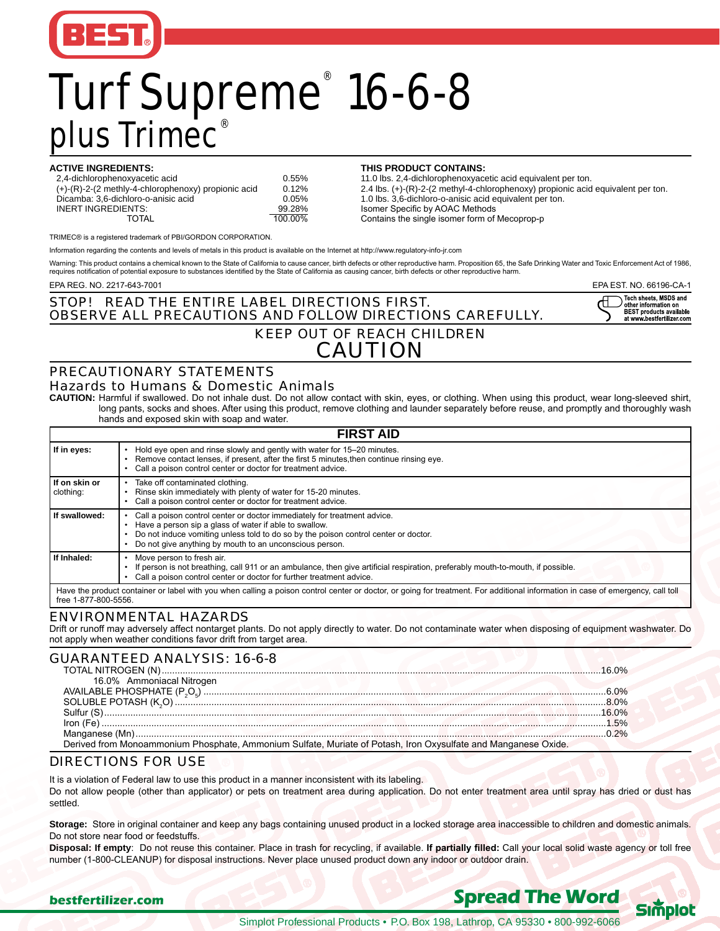

# Turf Supreme<sup>®</sup> 16-6-8 plus Trimec®

| <b>ACTIVE INGREDIENTS:</b>                                             |         | THIS PRODUCT CONTAINS:             |
|------------------------------------------------------------------------|---------|------------------------------------|
| 2,4-dichlorophenoxyacetic acid                                         | 0.55%   | 11.0 lbs. 2,4-dichlorophenoxyac    |
| $(+)$ - $(R)$ -2- $(2 \text{ methyly-4-chlorophenoxy})$ propionic acid | 0.12%   | 2.4 lbs. (+)-(R)-2-(2 methyl-4-ch  |
| Dicamba: 3.6-dichloro-o-anisic acid                                    | 0.05%   | 1.0 lbs. 3,6-dichloro-o-anisic aci |
| INERT INGREDIENTS:                                                     | 99.28%  | Isomer Specific by AOAC Metho      |
| TOTAL                                                                  | 100.00% | Contains the single isomer form    |
|                                                                        |         |                                    |

11.0 lbs. 2,4-dichlorophenoxyacetic acid equivalent per ton. 2% 2.4 lbs. (+)-(R)-2-(2 methyl-4-chlorophenoxy) propionic acid equivalent per ton.<br>5% 1.0 lbs. 3,6-dichloro-o-anisic acid equivalent per ton. 5%<br>
1.0 lbs. 3,6-dichloro-o-anisic acid equivalent per ton.<br>
1.05%<br>
2.05%<br>
2.05%<br>
2.05%<br>
2.05%<br>
2.05%<br>
2.05%<br>
2.05%<br>
2.05%<br>
2.05%<br>
2.05% Isomer Specific by AOAC Methods Contains the single isomer form of Mecoprop-p

 TRIMEC® is a registered trademark of PBI/GORDON CORPORATION.

Information regarding the contents and levels of metals in this product is available on the Internet at http://www.regulatory-info-jr.com

Warning: This product contains a chemical known to the State of California to cause cancer, birth defects or other reproductive harm. Proposition 65, the Safe Drinking Water and Toxic Enforcement Act of 1986, requires notification of potential exposure to substances identified by the State of California as causing cancer, birth defects or other reproductive harm.

EPA REG. NO. 2217-643-7001 EPA EST. NO. 66196-CA-1

| STOP!                                                           | ◯ Tech sheets. MSDS and                                     |
|-----------------------------------------------------------------|-------------------------------------------------------------|
| READ THE ENTIRE LABEL DIRECTIONS FIRST.                         | $\overline{\mathcal{S}}$ other information on               |
| <b>OBSERVE ALL PRECAUTIONS AND FOLLOW DIRECTIONS CAREFULLY.</b> | <b>BEST products available</b><br>at www.bestfertilizer.com |

## OBSERVE ALL PRECAUTIONS AND FOLLOW KEEP OUT OF REACH CHILDREN CAUTION

#### PRECAUTIONARY STATEMENTS Hazards to Humans & Domestic Animals

**CAUTION:** Harmful if swallowed. Do not inhale dust. Do not allow contact with skin, eyes, or clothing. When using this product, wear long-sleeved shirt, long pants, socks and shoes. After using this product, remove clothing and launder separately before reuse, and promptly and thoroughly wash hands and exposed skin with soap and water.

| <b>FIRST AID</b>           |                                                                                                                                                                                                                                                                                      |  |  |  |
|----------------------------|--------------------------------------------------------------------------------------------------------------------------------------------------------------------------------------------------------------------------------------------------------------------------------------|--|--|--|
| If in eyes:                | Hold eye open and rinse slowly and gently with water for 15–20 minutes.<br>Remove contact lenses, if present, after the first 5 minutes, then continue rinsing eye.<br>Call a poison control center or doctor for treatment advice.                                                  |  |  |  |
| If on skin or<br>clothing: | Take off contaminated clothing.<br>Rinse skin immediately with plenty of water for 15-20 minutes.<br>Call a poison control center or doctor for treatment advice.                                                                                                                    |  |  |  |
| If swallowed:              | Call a poison control center or doctor immediately for treatment advice.<br>Have a person sip a glass of water if able to swallow.<br>Do not induce vomiting unless told to do so by the poison control center or doctor.<br>Do not give anything by mouth to an unconscious person. |  |  |  |
| If Inhaled:                | Move person to fresh air.<br>If person is not breathing, call 911 or an ambulance, then give artificial respiration, preferably mouth-to-mouth, if possible.<br>Call a poison control center or doctor for further treatment advice.                                                 |  |  |  |
| free 1-877-800-5556.       | Have the product container or label with you when calling a poison control center or doctor, or going for treatment. For additional information in case of emergency, call toll                                                                                                      |  |  |  |

### ENVIRONMENTAL HAZARDS

Drift or runoff may adversely affect nontarget plants. Do not apply directly to water. Do not contaminate water when disposing of equipment washwater. Do not apply when weather conditions favor drift from target area.

| <b>GUARANTEED ANALYSIS: 16-6-8</b>                                                                             | $16.0\%$ |
|----------------------------------------------------------------------------------------------------------------|----------|
| 16.0% Ammoniacal Nitrogen                                                                                      |          |
|                                                                                                                |          |
|                                                                                                                |          |
|                                                                                                                |          |
|                                                                                                                |          |
| Derived from Monoammonium Phosphate, Ammonium Sulfate, Muriate of Potash, Iron Oxysulfate and Manganese Oxide. |          |

### DIRECTIONS FOR USE

It is a violation of Federal law to use this product in a manner inconsistent with its labeling. Do not allow people (other than applicator) or pets on treatment area during application. Do not enter treatment area until spray has dried or dust has settled.

**Storage:** Store in original container and keep any bags containing unused product in a locked storage area inaccessible to children and domestic animals. Do not store near food or feedstuffs.

**Disposal: If empty**: Do not reuse this container. Place in trash for recycling, if available. **If partially filled:** Call your local solid waste agency or toll free number (1-800-CLEANUP) for disposal instructions. Never place unused product down any indoor or outdoor drain.